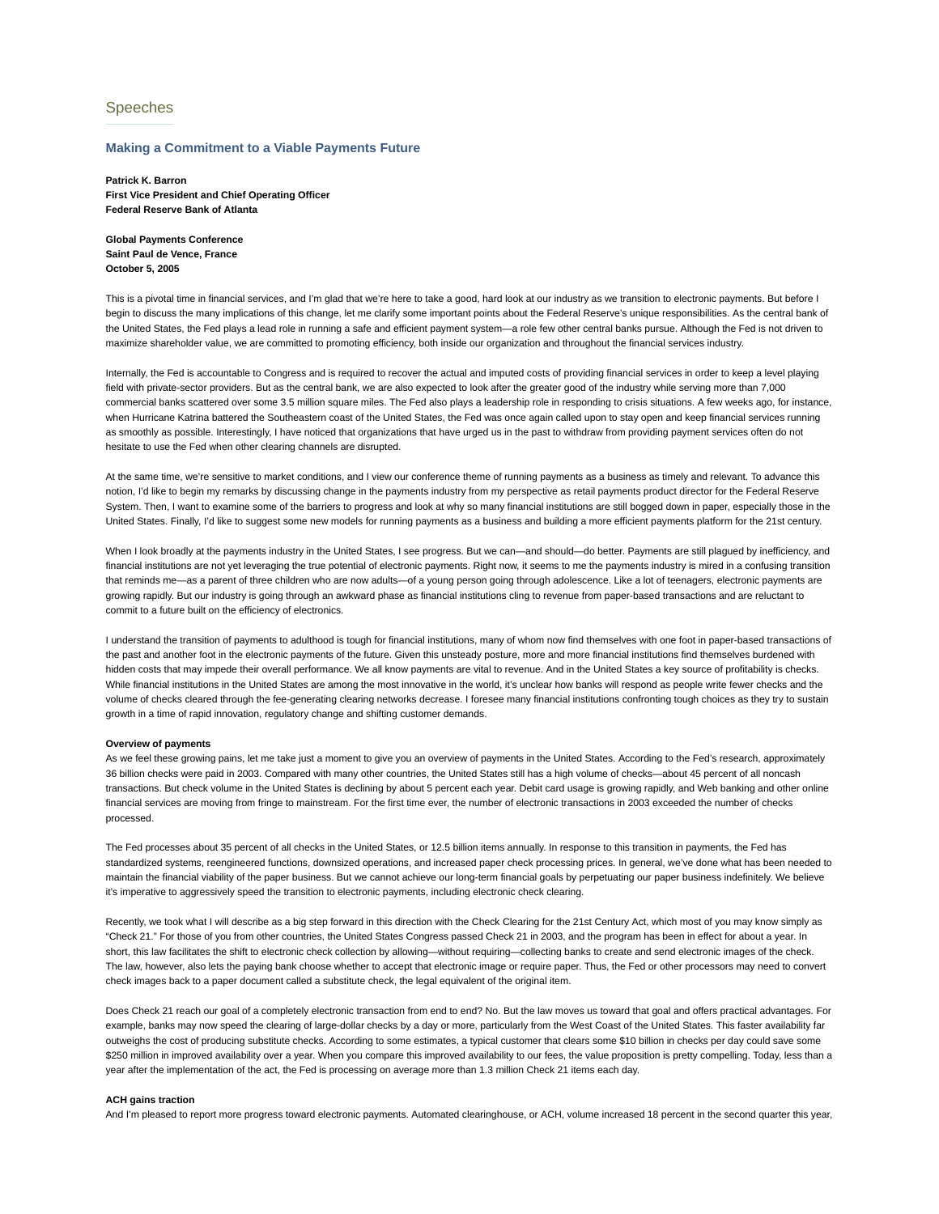# Speeches

### **Making a Commitment to a Viable Payments Future**

**Patrick K. Barron First Vice President and Chief Operating Officer Federal Reserve Bank of Atlanta**

**Global Payments Conference Saint Paul de Vence, France October 5, 2005**

This is a pivotal time in financial services, and I'm glad that we're here to take a good, hard look at our industry as we transition to electronic payments. But before I begin to discuss the many implications of this change, let me clarify some important points about the Federal Reserve's unique responsibilities. As the central bank of the United States, the Fed plays a lead role in running a safe and efficient payment system—a role few other central banks pursue. Although the Fed is not driven to maximize shareholder value, we are committed to promoting efficiency, both inside our organization and throughout the financial services industry.

Internally, the Fed is accountable to Congress and is required to recover the actual and imputed costs of providing financial services in order to keep a level playing field with private-sector providers. But as the central bank, we are also expected to look after the greater good of the industry while serving more than 7,000 commercial banks scattered over some 3.5 million square miles. The Fed also plays a leadership role in responding to crisis situations. A few weeks ago, for instance, when Hurricane Katrina battered the Southeastern coast of the United States, the Fed was once again called upon to stay open and keep financial services running as smoothly as possible. Interestingly, I have noticed that organizations that have urged us in the past to withdraw from providing payment services often do not hesitate to use the Fed when other clearing channels are disrupted.

At the same time, we're sensitive to market conditions, and I view our conference theme of running payments as a business as timely and relevant. To advance this notion, I'd like to begin my remarks by discussing change in the payments industry from my perspective as retail payments product director for the Federal Reserve System. Then, I want to examine some of the barriers to progress and look at why so many financial institutions are still bogged down in paper, especially those in the United States. Finally, I'd like to suggest some new models for running payments as a business and building a more efficient payments platform for the 21st century.

When I look broadly at the payments industry in the United States, I see progress. But we can—and should—do better. Payments are still plagued by inefficiency, and financial institutions are not yet leveraging the true potential of electronic payments. Right now, it seems to me the payments industry is mired in a confusing transition that reminds me—as a parent of three children who are now adults—of a young person going through adolescence. Like a lot of teenagers, electronic payments are growing rapidly. But our industry is going through an awkward phase as financial institutions cling to revenue from paper-based transactions and are reluctant to commit to a future built on the efficiency of electronics.

I understand the transition of payments to adulthood is tough for financial institutions, many of whom now find themselves with one foot in paper-based transactions of the past and another foot in the electronic payments of the future. Given this unsteady posture, more and more financial institutions find themselves burdened with hidden costs that may impede their overall performance. We all know payments are vital to revenue. And in the United States a key source of profitability is checks. While financial institutions in the United States are among the most innovative in the world, it's unclear how banks will respond as people write fewer checks and the volume of checks cleared through the fee-generating clearing networks decrease. I foresee many financial institutions confronting tough choices as they try to sustain growth in a time of rapid innovation, regulatory change and shifting customer demands.

#### **Overview of payments**

As we feel these growing pains, let me take just a moment to give you an overview of payments in the United States. According to the Fed's research, approximately 36 billion checks were paid in 2003. Compared with many other countries, the United States still has a high volume of checks—about 45 percent of all noncash transactions. But check volume in the United States is declining by about 5 percent each year. Debit card usage is growing rapidly, and Web banking and other online financial services are moving from fringe to mainstream. For the first time ever, the number of electronic transactions in 2003 exceeded the number of checks processed.

The Fed processes about 35 percent of all checks in the United States, or 12.5 billion items annually. In response to this transition in payments, the Fed has standardized systems, reengineered functions, downsized operations, and increased paper check processing prices. In general, we've done what has been needed to maintain the financial viability of the paper business. But we cannot achieve our long-term financial goals by perpetuating our paper business indefinitely. We believe it's imperative to aggressively speed the transition to electronic payments, including electronic check clearing.

Recently, we took what I will describe as a big step forward in this direction with the Check Clearing for the 21st Century Act, which most of you may know simply as "Check 21." For those of you from other countries, the United States Congress passed Check 21 in 2003, and the program has been in effect for about a year. In short, this law facilitates the shift to electronic check collection by allowing—without requiring—collecting banks to create and send electronic images of the check. The law, however, also lets the paying bank choose whether to accept that electronic image or require paper. Thus, the Fed or other processors may need to convert check images back to a paper document called a substitute check, the legal equivalent of the original item.

Does Check 21 reach our goal of a completely electronic transaction from end to end? No. But the law moves us toward that goal and offers practical advantages. For example, banks may now speed the clearing of large-dollar checks by a day or more, particularly from the West Coast of the United States. This faster availability far outweighs the cost of producing substitute checks. According to some estimates, a typical customer that clears some \$10 billion in checks per day could save some \$250 million in improved availability over a year. When you compare this improved availability to our fees, the value proposition is pretty compelling. Today, less than a year after the implementation of the act, the Fed is processing on average more than 1.3 million Check 21 items each day.

## **ACH gains traction**

And I'm pleased to report more progress toward electronic payments. Automated clearinghouse, or ACH, volume increased 18 percent in the second quarter this year,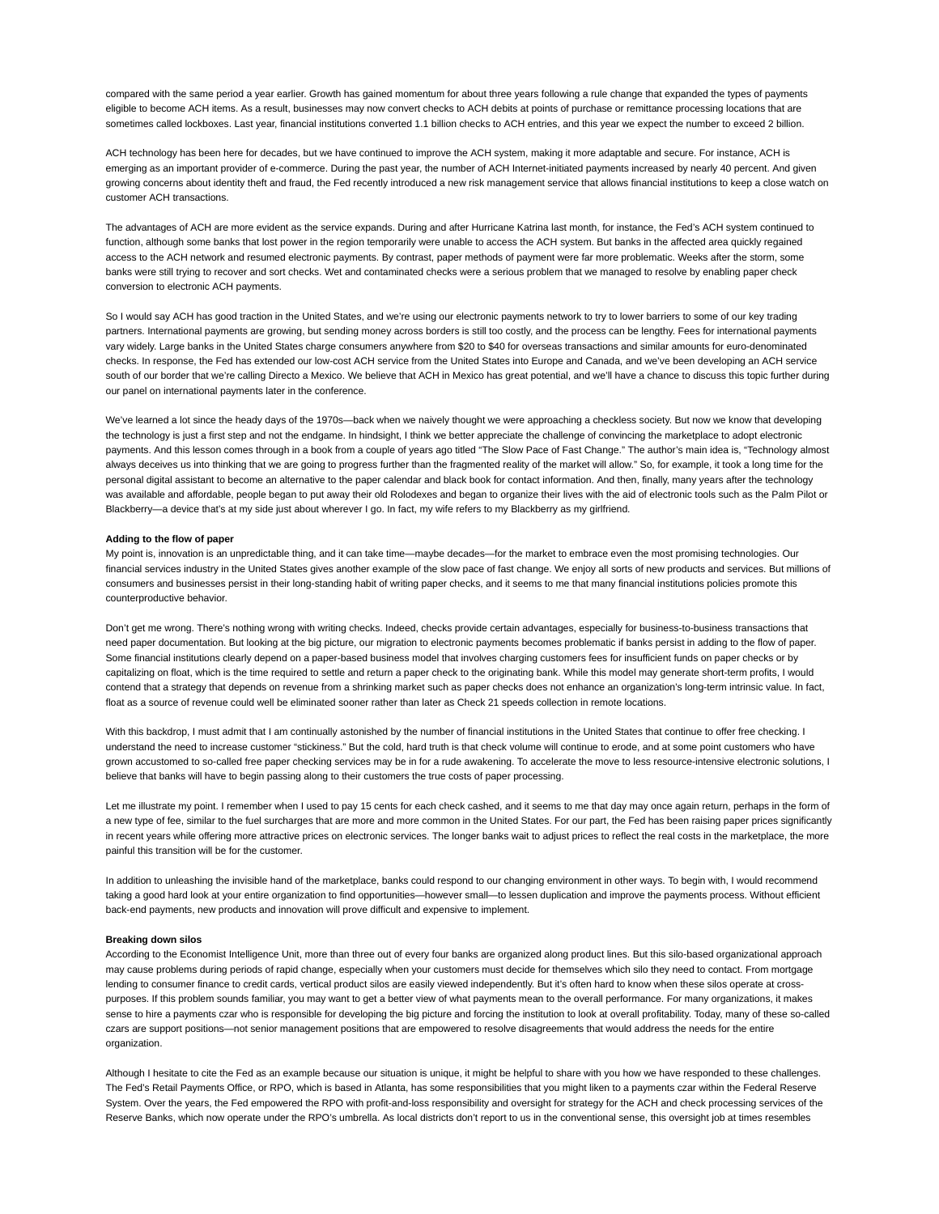compared with the same period a year earlier. Growth has gained momentum for about three years following a rule change that expanded the types of payments eligible to become ACH items. As a result, businesses may now convert checks to ACH debits at points of purchase or remittance processing locations that are sometimes called lockboxes. Last year, financial institutions converted 1.1 billion checks to ACH entries, and this year we expect the number to exceed 2 billion.

ACH technology has been here for decades, but we have continued to improve the ACH system, making it more adaptable and secure. For instance, ACH is emerging as an important provider of e-commerce. During the past year, the number of ACH Internet-initiated payments increased by nearly 40 percent. And given growing concerns about identity theft and fraud, the Fed recently introduced a new risk management service that allows financial institutions to keep a close watch on customer ACH transactions.

The advantages of ACH are more evident as the service expands. During and after Hurricane Katrina last month, for instance, the Fed's ACH system continued to function, although some banks that lost power in the region temporarily were unable to access the ACH system. But banks in the affected area quickly regained access to the ACH network and resumed electronic payments. By contrast, paper methods of payment were far more problematic. Weeks after the storm, some banks were still trying to recover and sort checks. Wet and contaminated checks were a serious problem that we managed to resolve by enabling paper check conversion to electronic ACH payments.

So I would say ACH has good traction in the United States, and we're using our electronic payments network to try to lower barriers to some of our key trading partners. International payments are growing, but sending money across borders is still too costly, and the process can be lengthy. Fees for international payments vary widely. Large banks in the United States charge consumers anywhere from \$20 to \$40 for overseas transactions and similar amounts for euro-denominated checks. In response, the Fed has extended our low-cost ACH service from the United States into Europe and Canada, and we've been developing an ACH service south of our border that we're calling Directo a Mexico. We believe that ACH in Mexico has great potential, and we'll have a chance to discuss this topic further during our panel on international payments later in the conference.

We've learned a lot since the heady days of the 1970s-back when we naively thought we were approaching a checkless society. But now we know that developing the technology is just a first step and not the endgame. In hindsight, I think we better appreciate the challenge of convincing the marketplace to adopt electronic payments. And this lesson comes through in a book from a couple of years ago titled "The Slow Pace of Fast Change." The author's main idea is, "Technology almost always deceives us into thinking that we are going to progress further than the fragmented reality of the market will allow." So, for example, it took a long time for the personal digital assistant to become an alternative to the paper calendar and black book for contact information. And then, finally, many years after the technology was available and affordable, people began to put away their old Rolodexes and began to organize their lives with the aid of electronic tools such as the Palm Pilot or Blackberry—a device that's at my side just about wherever I go. In fact, my wife refers to my Blackberry as my girlfriend.

#### **Adding to the flow of paper**

My point is, innovation is an unpredictable thing, and it can take time—maybe decades—for the market to embrace even the most promising technologies. Our financial services industry in the United States gives another example of the slow pace of fast change. We enjoy all sorts of new products and services. But millions of consumers and businesses persist in their long-standing habit of writing paper checks, and it seems to me that many financial institutions policies promote this counterproductive behavior.

Don't get me wrong. There's nothing wrong with writing checks. Indeed, checks provide certain advantages, especially for business-to-business transactions that need paper documentation. But looking at the big picture, our migration to electronic payments becomes problematic if banks persist in adding to the flow of paper. Some financial institutions clearly depend on a paper-based business model that involves charging customers fees for insufficient funds on paper checks or by capitalizing on float, which is the time required to settle and return a paper check to the originating bank. While this model may generate short-term profits, I would contend that a strategy that depends on revenue from a shrinking market such as paper checks does not enhance an organization's long-term intrinsic value. In fact, float as a source of revenue could well be eliminated sooner rather than later as Check 21 speeds collection in remote locations.

With this backdrop, I must admit that I am continually astonished by the number of financial institutions in the United States that continue to offer free checking. I understand the need to increase customer "stickiness." But the cold, hard truth is that check volume will continue to erode, and at some point customers who have grown accustomed to so-called free paper checking services may be in for a rude awakening. To accelerate the move to less resource-intensive electronic solutions, I believe that banks will have to begin passing along to their customers the true costs of paper processing.

Let me illustrate my point. I remember when I used to pay 15 cents for each check cashed, and it seems to me that day may once again return, perhaps in the form of a new type of fee, similar to the fuel surcharges that are more and more common in the United States. For our part, the Fed has been raising paper prices significantly in recent years while offering more attractive prices on electronic services. The longer banks wait to adjust prices to reflect the real costs in the marketplace, the more painful this transition will be for the customer.

In addition to unleashing the invisible hand of the marketplace, banks could respond to our changing environment in other ways. To begin with, I would recommend taking a good hard look at your entire organization to find opportunities—however small—to lessen duplication and improve the payments process. Without efficient back-end payments, new products and innovation will prove difficult and expensive to implement.

#### **Breaking down silos**

According to the Economist Intelligence Unit, more than three out of every four banks are organized along product lines. But this silo-based organizational approach may cause problems during periods of rapid change, especially when your customers must decide for themselves which silo they need to contact. From mortgage lending to consumer finance to credit cards, vertical product silos are easily viewed independently. But it's often hard to know when these silos operate at crosspurposes. If this problem sounds familiar, you may want to get a better view of what payments mean to the overall performance. For many organizations, it makes sense to hire a payments czar who is responsible for developing the big picture and forcing the institution to look at overall profitability. Today, many of these so-called czars are support positions—not senior management positions that are empowered to resolve disagreements that would address the needs for the entire organization.

Although I hesitate to cite the Fed as an example because our situation is unique, it might be helpful to share with you how we have responded to these challenges. The Fed's Retail Payments Office, or RPO, which is based in Atlanta, has some responsibilities that you might liken to a payments czar within the Federal Reserve System. Over the years, the Fed empowered the RPO with profit-and-loss responsibility and oversight for strategy for the ACH and check processing services of the Reserve Banks, which now operate under the RPO's umbrella. As local districts don't report to us in the conventional sense, this oversight job at times resembles